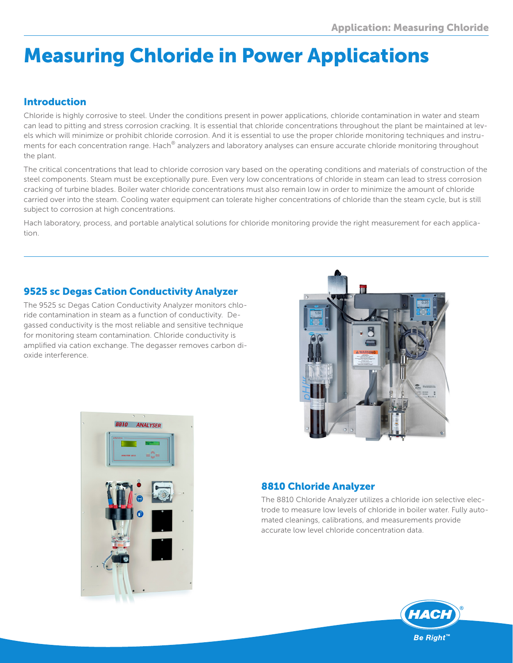# Measuring Chloride in Power Applications

## Introduction

Chloride is highly corrosive to steel. Under the conditions present in power applications, chloride contamination in water and steam can lead to pitting and stress corrosion cracking. It is essential that chloride concentrations throughout the plant be maintained at levels which will minimize or prohibit chloride corrosion. And it is essential to use the proper chloride monitoring techniques and instruments for each concentration range. Hach® analyzers and laboratory analyses can ensure accurate chloride monitoring throughout the plant.

The critical concentrations that lead to chloride corrosion vary based on the operating conditions and materials of construction of the steel components. Steam must be exceptionally pure. Even very low concentrations of chloride in steam can lead to stress corrosion cracking of turbine blades. Boiler water chloride concentrations must also remain low in order to minimize the amount of chloride carried over into the steam. Cooling water equipment can tolerate higher concentrations of chloride than the steam cycle, but is still subject to corrosion at high concentrations.

Hach laboratory, process, and portable analytical solutions for chloride monitoring provide the right measurement for each application.

## 9525 sc Degas Cation Conductivity Analyzer

The 9525 sc Degas Cation Conductivity Analyzer monitors chloride contamination in steam as a function of conductivity. Degassed conductivity is the most reliable and sensitive technique for monitoring steam contamination. Chloride conductivity is amplified via cation exchange. The degasser removes carbon dioxide interference.





### 8810 Chloride Analyzer

The 8810 Chloride Analyzer utilizes a chloride ion selective electrode to measure low levels of chloride in boiler water. Fully automated cleanings, calibrations, and measurements provide accurate low level chloride concentration data.